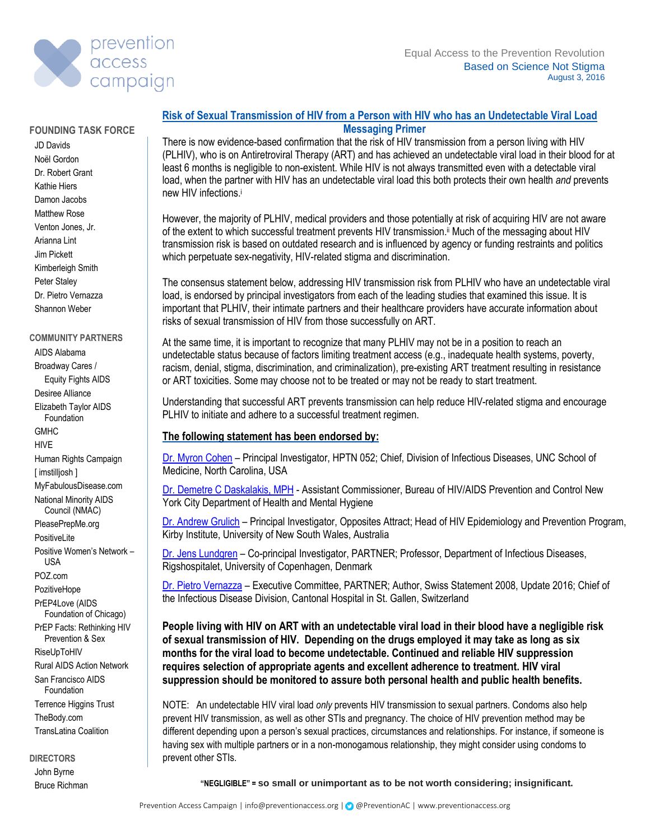

#### **FOUNDING TASK FORCE**

JD Davids Noël Gordon Dr. Robert Grant Kathie Hiers Damon Jacobs Matthew Rose Venton Jones, Jr. Arianna Lint Jim Pickett Kimberleigh Smith Peter Staley Dr. Pietro Vernazza Shannon Weber

#### **COMMUNITY PARTNERS**

AIDS Alabama Broadway Cares / Equity Fights AIDS Desiree Alliance Elizabeth Taylor AIDS Foundation **GMHC** HIVE Human Rights Campaign [ imstilljosh ] MyFabulousDisease.com National Minority AIDS Council (NMAC) PleasePrepMe.org **PositiveLite** Positive Women's Network – USA POZ.com **PozitiveHope** PrEP4Love (AIDS Foundation of Chicago) PrEP Facts: Rethinking HIV Prevention & Sex RiseUpToHIV Rural AIDS Action Network San Francisco AIDS Foundation Terrence Higgins Trust TheBody.com TransLatina Coalition

**DIRECTORS** John Byrne Bruce Richman

## **Risk of Sexual Transmission of HIV from a Person with HIV who has an Undetectable Viral Load Messaging Primer**

There is now evidence-based confirmation that the risk of HIV transmission from a person living with HIV (PLHIV), who is on Antiretroviral Therapy (ART) and has achieved an undetectable viral load in their blood for at least 6 months is negligible to non-existent. While HIV is not always transmitted even with a detectable viral load, when the partner with HIV has an undetectable viral load this both protects their own health *and* prevents new HIV infections. i

However, the majority of PLHIV, medical providers and those potentially at risk of acquiring HIV are not aware of the extent to which successful treatment prevents HIV transmission.<sup>||</sup> Much of the messaging about HIV transmission risk is based on outdated research and is influenced by agency or funding restraints and politics which perpetuate sex-negativity, HIV-related stigma and discrimination.

The consensus statement below, addressing HIV transmission risk from PLHIV who have an undetectable viral load, is endorsed by principal investigators from each of the leading studies that examined this issue. It is important that PLHIV, their intimate partners and their healthcare providers have accurate information about risks of sexual transmission of HIV from those successfully on ART.

At the same time, it is important to recognize that many PLHIV may not be in a position to reach an undetectable status because of factors limiting treatment access (e.g., inadequate health systems, poverty, racism, denial, stigma, discrimination, and criminalization), pre-existing ART treatment resulting in resistance or ART toxicities. Some may choose not to be treated or may not be ready to start treatment.

Understanding that successful ART prevents transmission can help reduce HIV-related stigma and encourage PLHIV to initiate and adhere to a successful treatment regimen.

## **The following statement has been endorsed by:**

[Dr. Myron Cohen](https://www.med.unc.edu/infdis/about/faculty/myron-cohen-md) – Principal Investigator, HPTN 052; Chief, Division of Infectious Diseases, UNC School of Medicine, North Carolina, USA

[Dr. Demetre C Daskalakis, MPH](https://www1.nyc.gov/site/doh/health/health-topics/aids-hiv.page) - Assistant Commissioner, Bureau of HIV/AIDS Prevention and Control New York City Department of Health and Mental Hygiene

[Dr. Andrew Grulich](http://kirby.unsw.edu.au/people/professor-andrew-grulich) – Principal Investigator, Opposites Attract; Head of HIV Epidemiology and Prevention Program, Kirby Institute, University of New South Wales, Australia

[Dr. Jens Lundgren](https://www.iasociety.org/Web/WebContent/File/Bios/Jens_Lundgren.pdf) – Co-principal Investigator, PARTNER; Professor, Department of Infectious Diseases, Rigshospitalet, University of Copenhagen, Denmark

[Dr. Pietro Vernazza](https://research.kssg.ch/persons/Pietro_Vernazza/L-en) – Executive Committee, PARTNER; Author, Swiss Statement 2008, Update 2016; Chief of the Infectious Disease Division, Cantonal Hospital in St. Gallen, Switzerland

**People living with HIV on ART with an undetectable viral load in their blood have a negligible risk of sexual transmission of HIV. Depending on the drugs employed it may take as long as six months for the viral load to become undetectable. Continued and reliable HIV suppression requires selection of appropriate agents and excellent adherence to treatment. HIV viral suppression should be monitored to assure both personal health and public health benefits.** 

NOTE: An undetectable HIV viral load *only* prevents HIV transmission to sexual partners. Condoms also help prevent HIV transmission, as well as other STIs and pregnancy. The choice of HIV prevention method may be different depending upon a person's sexual practices, circumstances and relationships. For instance, if someone is having sex with multiple partners or in a non-monogamous relationship, they might consider using condoms to prevent other STIs.

**"NEGLIGIBLE" = so small or unimportant as to be not worth considering; insignificant.**